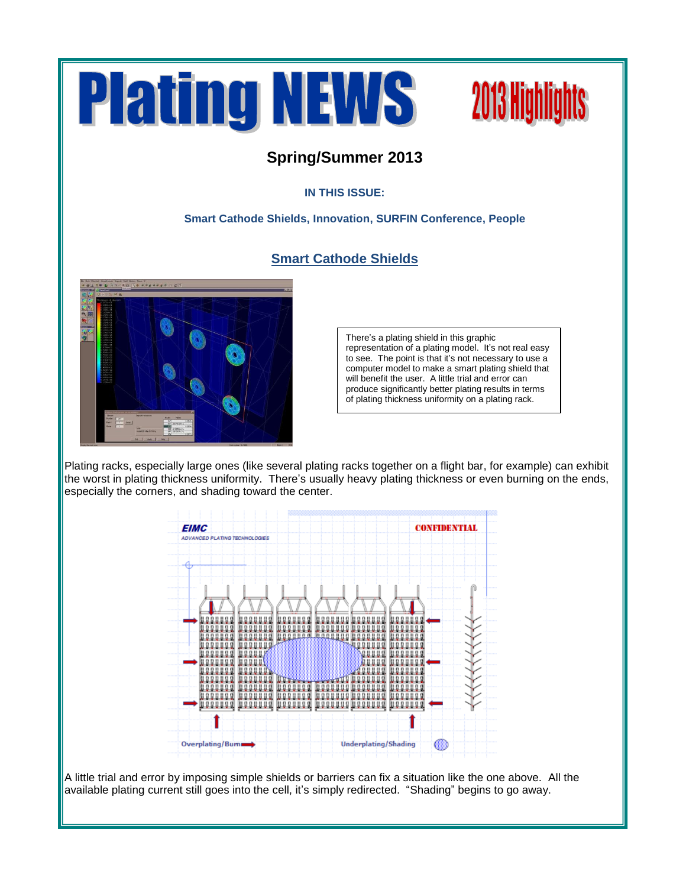



### **Spring/Summer 2013**

### **IN THIS ISSUE:**

### **Smart Cathode Shields, Innovation, SURFIN Conference, People**

### **Smart Cathode Shields**



There's a plating shield in this graphic representation of a plating model. It's not real easy to see. The point is that it's not necessary to use a computer model to make a smart plating shield that will benefit the user. A little trial and error can produce significantly better plating results in terms of plating thickness uniformity on a plating rack.

Plating racks, especially large ones (like several plating racks together on a flight bar, for example) can exhibit the worst in plating thickness uniformity. There's usually heavy plating thickness or even burning on the ends, especially the corners, and shading toward the center.



A little trial and error by imposing simple shields or barriers can fix a situation like the one above. All the available plating current still goes into the cell, it's simply redirected. "Shading" begins to go away.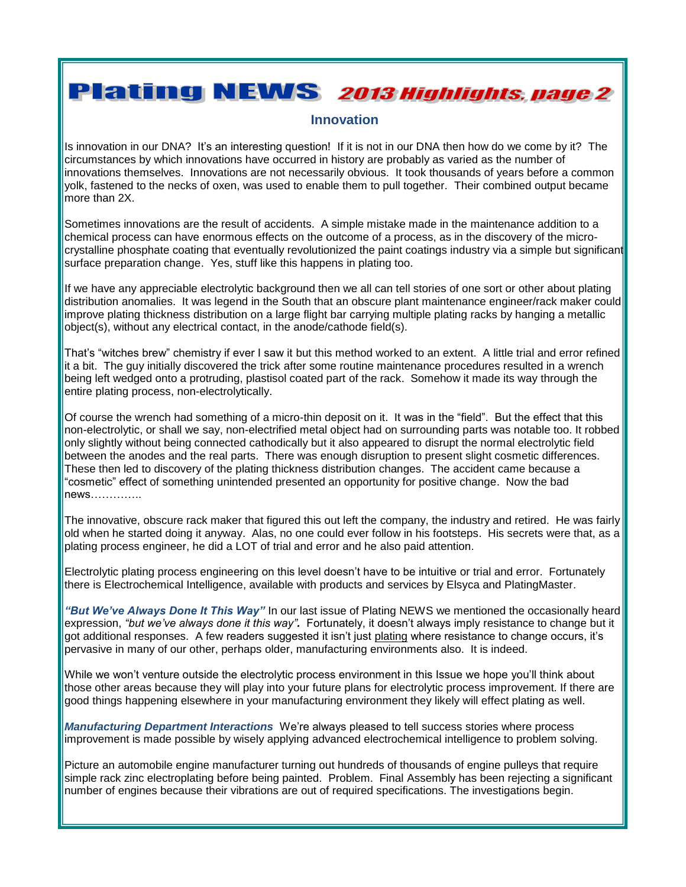## **Plating NEWS 2013 Highlights, page 2**

#### **Innovation**

Is innovation in our DNA? It's an interesting question! If it is not in our DNA then how do we come by it? The circumstances by which innovations have occurred in history are probably as varied as the number of innovations themselves. Innovations are not necessarily obvious. It took thousands of years before a common yolk, fastened to the necks of oxen, was used to enable them to pull together. Their combined output became more than 2X.

Sometimes innovations are the result of accidents. A simple mistake made in the maintenance addition to a chemical process can have enormous effects on the outcome of a process, as in the discovery of the microcrystalline phosphate coating that eventually revolutionized the paint coatings industry via a simple but significant surface preparation change. Yes, stuff like this happens in plating too.

If we have any appreciable electrolytic background then we all can tell stories of one sort or other about plating distribution anomalies. It was legend in the South that an obscure plant maintenance engineer/rack maker could improve plating thickness distribution on a large flight bar carrying multiple plating racks by hanging a metallic object(s), without any electrical contact, in the anode/cathode field(s).

That's "witches brew" chemistry if ever I saw it but this method worked to an extent. A little trial and error refined it a bit. The guy initially discovered the trick after some routine maintenance procedures resulted in a wrench being left wedged onto a protruding, plastisol coated part of the rack. Somehow it made its way through the entire plating process, non-electrolytically.

Of course the wrench had something of a micro-thin deposit on it. It was in the "field". But the effect that this non-electrolytic, or shall we say, non-electrified metal object had on surrounding parts was notable too. It robbed only slightly without being connected cathodically but it also appeared to disrupt the normal electrolytic field between the anodes and the real parts. There was enough disruption to present slight cosmetic differences. These then led to discovery of the plating thickness distribution changes. The accident came because a "cosmetic" effect of something unintended presented an opportunity for positive change. Now the bad news…………..

The innovative, obscure rack maker that figured this out left the company, the industry and retired. He was fairly old when he started doing it anyway. Alas, no one could ever follow in his footsteps. His secrets were that, as a plating process engineer, he did a LOT of trial and error and he also paid attention.

Electrolytic plating process engineering on this level doesn't have to be intuitive or trial and error. Fortunately there is Electrochemical Intelligence, available with products and services by Elsyca and PlatingMaster.

*"But We've Always Done It This Way"* In our last issue of Plating NEWS we mentioned the occasionally heard expression, *"but we've always done it this way".* Fortunately, it doesn't always imply resistance to change but it got additional responses. A few readers suggested it isn't just plating where resistance to change occurs, it's pervasive in many of our other, perhaps older, manufacturing environments also. It is indeed.

While we won't venture outside the electrolytic process environment in this Issue we hope you'll think about those other areas because they will play into your future plans for electrolytic process improvement. If there are good things happening elsewhere in your manufacturing environment they likely will effect plating as well.

*Manufacturing Department Interactions* We're always pleased to tell success stories where process improvement is made possible by wisely applying advanced electrochemical intelligence to problem solving.

Picture an automobile engine manufacturer turning out hundreds of thousands of engine pulleys that require simple rack zinc electroplating before being painted. Problem. Final Assembly has been rejecting a significant number of engines because their vibrations are out of required specifications. The investigations begin.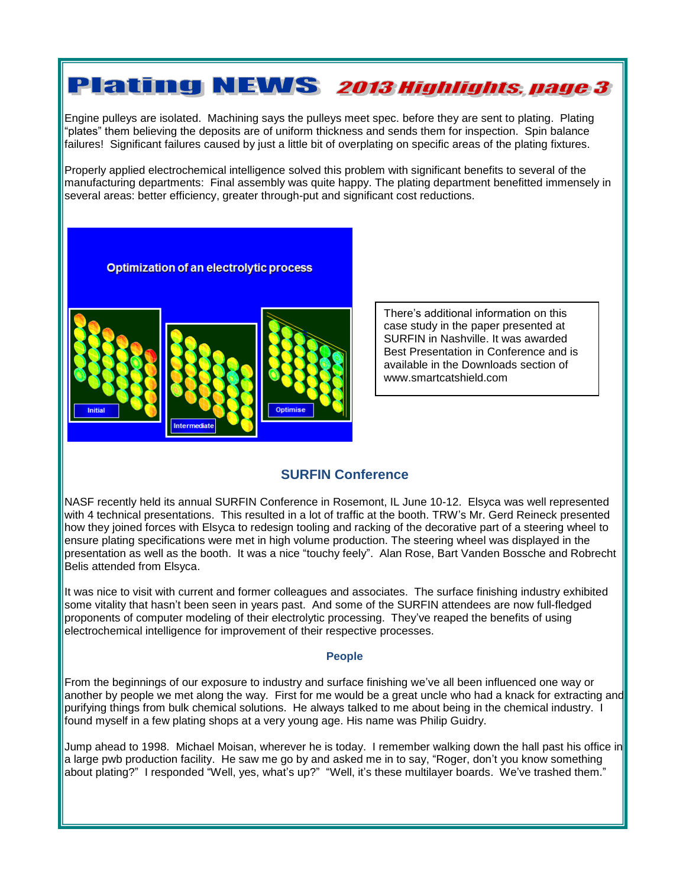## **Plating NEWS 2013 Highlights, page 3**

Engine pulleys are isolated. Machining says the pulleys meet spec. before they are sent to plating. Plating "plates" them believing the deposits are of uniform thickness and sends them for inspection. Spin balance failures! Significant failures caused by just a little bit of overplating on specific areas of the plating fixtures.

Properly applied electrochemical intelligence solved this problem with significant benefits to several of the manufacturing departments: Final assembly was quite happy. The plating department benefitted immensely in several areas: better efficiency, greater through-put and significant cost reductions.

**Optimization of an electrolytic process** 



There's additional information on this case study in the paper presented at SURFIN in Nashville. It was awarded Best Presentation in Conference and is available in the Downloads section of www.smartcatshield.com

### **SURFIN Conference**

NASF recently held its annual SURFIN Conference in Rosemont, IL June 10-12. Elsyca was well represented with 4 technical presentations. This resulted in a lot of traffic at the booth. TRW's Mr. Gerd Reineck presented how they joined forces with Elsyca to redesign tooling and racking of the decorative part of a steering wheel to ensure plating specifications were met in high volume production. The steering wheel was displayed in the presentation as well as the booth. It was a nice "touchy feely". Alan Rose, Bart Vanden Bossche and Robrecht Belis attended from Elsyca.

It was nice to visit with current and former colleagues and associates. The surface finishing industry exhibited some vitality that hasn't been seen in years past. And some of the SURFIN attendees are now full-fledged proponents of computer modeling of their electrolytic processing. They've reaped the benefits of using electrochemical intelligence for improvement of their respective processes.

#### **People**

From the beginnings of our exposure to industry and surface finishing we've all been influenced one way or another by people we met along the way. First for me would be a great uncle who had a knack for extracting and purifying things from bulk chemical solutions. He always talked to me about being in the chemical industry. I found myself in a few plating shops at a very young age. His name was Philip Guidry.

Jump ahead to 1998. Michael Moisan, wherever he is today. I remember walking down the hall past his office in a large pwb production facility. He saw me go by and asked me in to say, "Roger, don't you know something about plating?" I responded "Well, yes, what's up?" "Well, it's these multilayer boards. We've trashed them."